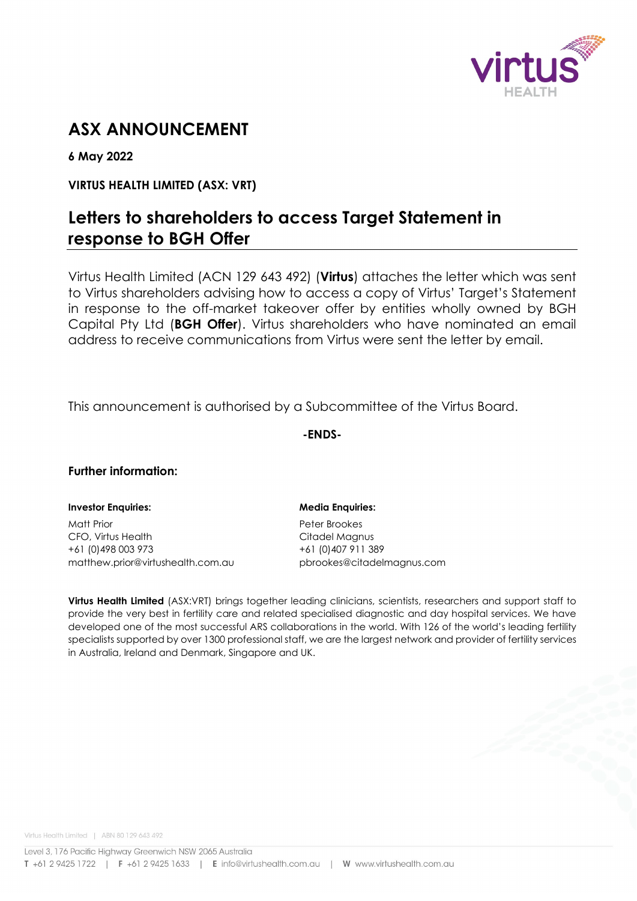

# **ASX ANNOUNCEMENT**

**6 May 2022**

# **VIRTUS HEALTH LIMITED (ASX: VRT)**

# **Letters to shareholders to access Target Statement in response to BGH Offer**

Virtus Health Limited (ACN 129 643 492) (**Virtus**) attaches the letter which was sent to Virtus shareholders advising how to access a copy of Virtus' Target's Statement in response to the off-market takeover offer by entities wholly owned by BGH Capital Pty Ltd (**BGH Offer**). Virtus shareholders who have nominated an email address to receive communications from Virtus were sent the letter by email.

This announcement is authorised by a Subcommittee of the Virtus Board.

**-ENDS-**

# **Further information:**

# **Investor Enquiries: Media Enquiries:**

Matt Prior **Peter Brookes** CFO, Virtus Health CFO, 2008 +61 (0)498 003 973 +61 (0)407 911 389 matthew.prior@virtushealth.com.au pbrookes@citadelmagnus.com

**Virtus Health Limited** (ASX:VRT) brings together leading clinicians, scientists, researchers and support staff to provide the very best in fertility care and related specialised diagnostic and day hospital services. We have developed one of the most successful ARS collaborations in the world. With 126 of the world's leading fertility specialists supported by over 1300 professional staff, we are the largest network and provider of fertility services in Australia, Ireland and Denmark, Singapore and UK.

Virtus Health Limited | ABN 80 129 643 492